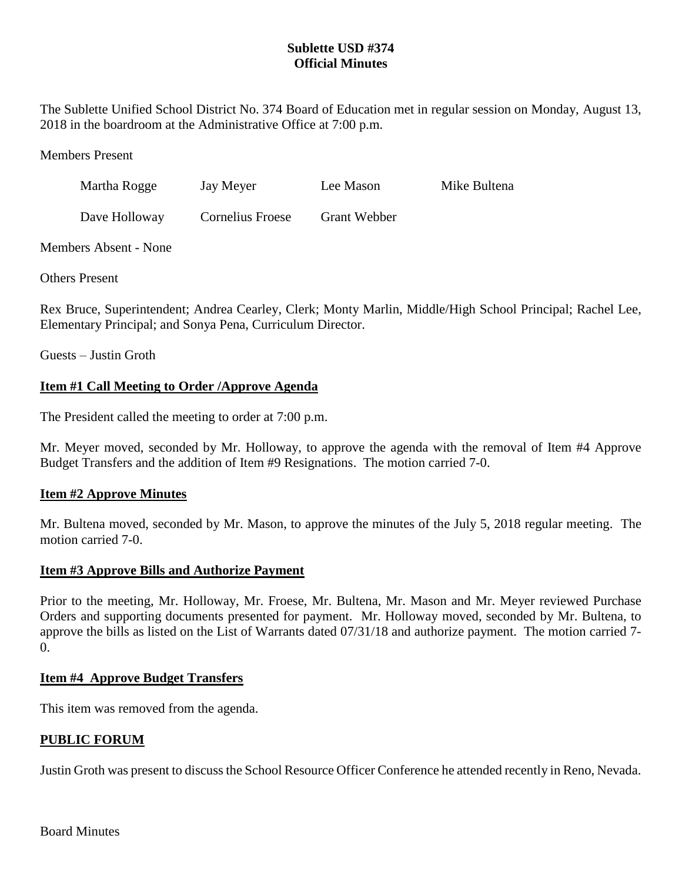# **Sublette USD #374 Official Minutes**

The Sublette Unified School District No. 374 Board of Education met in regular session on Monday, August 13, 2018 in the boardroom at the Administrative Office at 7:00 p.m.

Members Present

| Martha Rogge | Jay Meyer | Lee Mason | Mike Bultena |
|--------------|-----------|-----------|--------------|
|              |           |           |              |

Dave Holloway Cornelius Froese Grant Webber

Members Absent - None

Others Present

Rex Bruce, Superintendent; Andrea Cearley, Clerk; Monty Marlin, Middle/High School Principal; Rachel Lee, Elementary Principal; and Sonya Pena, Curriculum Director.

Guests – Justin Groth

# **Item #1 Call Meeting to Order /Approve Agenda**

The President called the meeting to order at 7:00 p.m.

Mr. Meyer moved, seconded by Mr. Holloway, to approve the agenda with the removal of Item #4 Approve Budget Transfers and the addition of Item #9 Resignations. The motion carried 7-0.

# **Item #2 Approve Minutes**

Mr. Bultena moved, seconded by Mr. Mason, to approve the minutes of the July 5, 2018 regular meeting. The motion carried 7-0.

# **Item #3 Approve Bills and Authorize Payment**

Prior to the meeting, Mr. Holloway, Mr. Froese, Mr. Bultena, Mr. Mason and Mr. Meyer reviewed Purchase Orders and supporting documents presented for payment. Mr. Holloway moved, seconded by Mr. Bultena, to approve the bills as listed on the List of Warrants dated 07/31/18 and authorize payment. The motion carried 7-  $\Omega$ .

# **Item #4 Approve Budget Transfers**

This item was removed from the agenda.

# **PUBLIC FORUM**

Justin Groth was present to discuss the School Resource Officer Conference he attended recently in Reno, Nevada.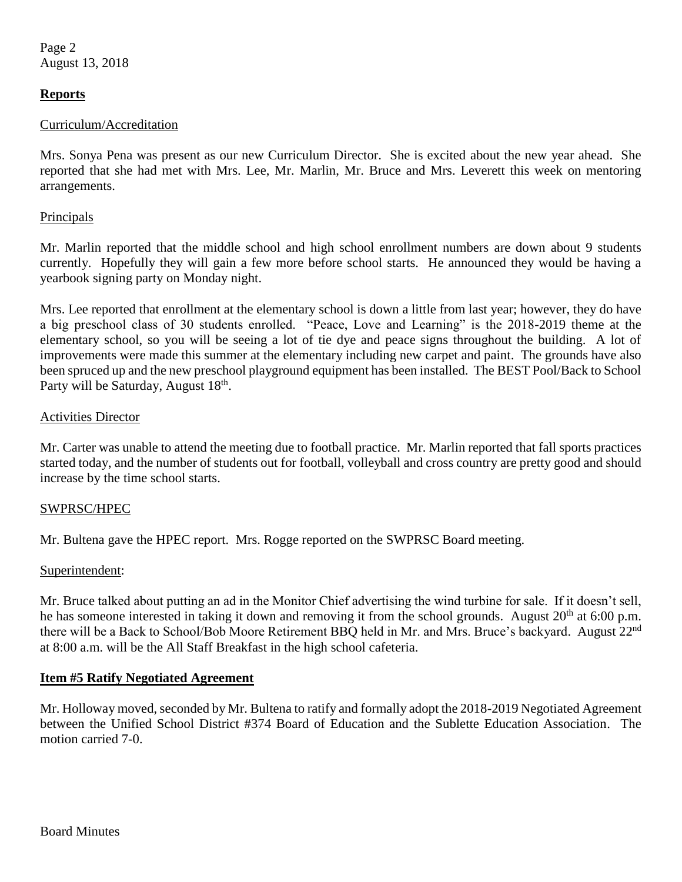Page 2 August 13, 2018

# **Reports**

#### Curriculum/Accreditation

Mrs. Sonya Pena was present as our new Curriculum Director. She is excited about the new year ahead. She reported that she had met with Mrs. Lee, Mr. Marlin, Mr. Bruce and Mrs. Leverett this week on mentoring arrangements.

### Principals

Mr. Marlin reported that the middle school and high school enrollment numbers are down about 9 students currently. Hopefully they will gain a few more before school starts. He announced they would be having a yearbook signing party on Monday night.

Mrs. Lee reported that enrollment at the elementary school is down a little from last year; however, they do have a big preschool class of 30 students enrolled. "Peace, Love and Learning" is the 2018-2019 theme at the elementary school, so you will be seeing a lot of tie dye and peace signs throughout the building. A lot of improvements were made this summer at the elementary including new carpet and paint. The grounds have also been spruced up and the new preschool playground equipment has been installed. The BEST Pool/Back to School Party will be Saturday, August 18<sup>th</sup>.

### Activities Director

Mr. Carter was unable to attend the meeting due to football practice. Mr. Marlin reported that fall sports practices started today, and the number of students out for football, volleyball and cross country are pretty good and should increase by the time school starts.

# SWPRSC/HPEC

Mr. Bultena gave the HPEC report. Mrs. Rogge reported on the SWPRSC Board meeting.

#### Superintendent:

Mr. Bruce talked about putting an ad in the Monitor Chief advertising the wind turbine for sale. If it doesn't sell, he has someone interested in taking it down and removing it from the school grounds. August 20<sup>th</sup> at 6:00 p.m. there will be a Back to School/Bob Moore Retirement BBQ held in Mr. and Mrs. Bruce's backyard. August 22<sup>nd</sup> at 8:00 a.m. will be the All Staff Breakfast in the high school cafeteria.

# **Item #5 Ratify Negotiated Agreement**

Mr. Holloway moved, seconded by Mr. Bultena to ratify and formally adopt the 2018-2019 Negotiated Agreement between the Unified School District #374 Board of Education and the Sublette Education Association. The motion carried 7-0.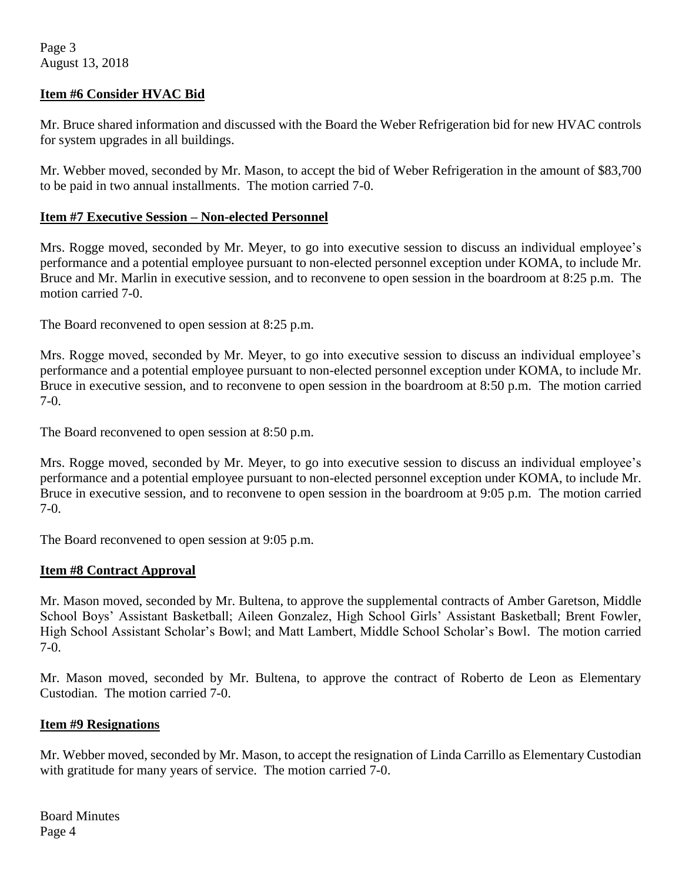Page 3 August 13, 2018

### **Item #6 Consider HVAC Bid**

Mr. Bruce shared information and discussed with the Board the Weber Refrigeration bid for new HVAC controls for system upgrades in all buildings.

Mr. Webber moved, seconded by Mr. Mason, to accept the bid of Weber Refrigeration in the amount of \$83,700 to be paid in two annual installments. The motion carried 7-0.

### **Item #7 Executive Session – Non-elected Personnel**

Mrs. Rogge moved, seconded by Mr. Meyer, to go into executive session to discuss an individual employee's performance and a potential employee pursuant to non-elected personnel exception under KOMA, to include Mr. Bruce and Mr. Marlin in executive session, and to reconvene to open session in the boardroom at 8:25 p.m. The motion carried 7-0.

The Board reconvened to open session at 8:25 p.m.

Mrs. Rogge moved, seconded by Mr. Meyer, to go into executive session to discuss an individual employee's performance and a potential employee pursuant to non-elected personnel exception under KOMA, to include Mr. Bruce in executive session, and to reconvene to open session in the boardroom at 8:50 p.m. The motion carried 7-0.

The Board reconvened to open session at 8:50 p.m.

Mrs. Rogge moved, seconded by Mr. Meyer, to go into executive session to discuss an individual employee's performance and a potential employee pursuant to non-elected personnel exception under KOMA, to include Mr. Bruce in executive session, and to reconvene to open session in the boardroom at 9:05 p.m. The motion carried 7-0.

The Board reconvened to open session at 9:05 p.m.

#### **Item #8 Contract Approval**

Mr. Mason moved, seconded by Mr. Bultena, to approve the supplemental contracts of Amber Garetson, Middle School Boys' Assistant Basketball; Aileen Gonzalez, High School Girls' Assistant Basketball; Brent Fowler, High School Assistant Scholar's Bowl; and Matt Lambert, Middle School Scholar's Bowl. The motion carried 7-0.

Mr. Mason moved, seconded by Mr. Bultena, to approve the contract of Roberto de Leon as Elementary Custodian. The motion carried 7-0.

#### **Item #9 Resignations**

Mr. Webber moved, seconded by Mr. Mason, to accept the resignation of Linda Carrillo as Elementary Custodian with gratitude for many years of service. The motion carried 7-0.

Board Minutes Page 4